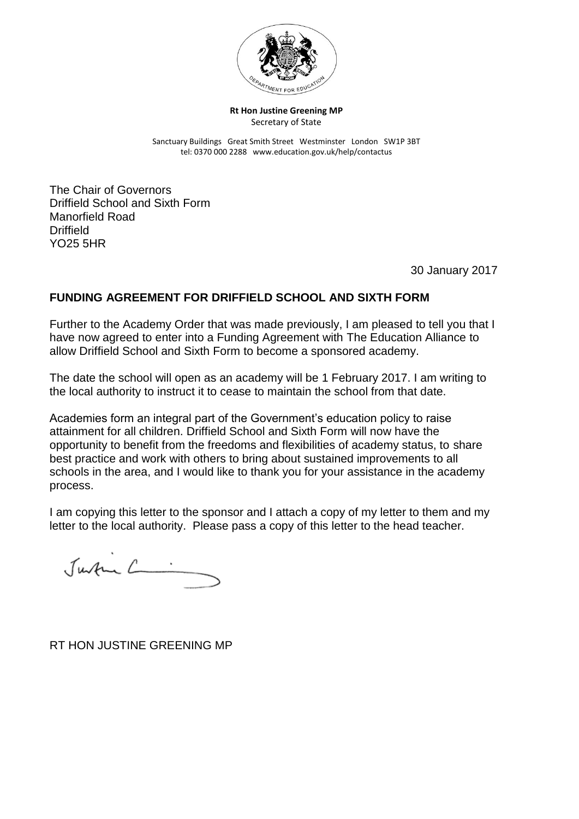

**Rt Hon Justine Greening MP** Secretary of State

Sanctuary Buildings Great Smith Street Westminster London SW1P 3BT tel: 0370 000 2288 www.education.gov.uk/help/contactus

The Chair of Governors Driffield School and Sixth Form Manorfield Road **Driffield** YO25 5HR

30 January 2017

## **FUNDING AGREEMENT FOR DRIFFIELD SCHOOL AND SIXTH FORM**

Further to the Academy Order that was made previously, I am pleased to tell you that I have now agreed to enter into a Funding Agreement with The Education Alliance to allow Driffield School and Sixth Form to become a sponsored academy.

The date the school will open as an academy will be 1 February 2017. I am writing to the local authority to instruct it to cease to maintain the school from that date.

Academies form an integral part of the Government's education policy to raise attainment for all children. Driffield School and Sixth Form will now have the opportunity to benefit from the freedoms and flexibilities of academy status, to share best practice and work with others to bring about sustained improvements to all schools in the area, and I would like to thank you for your assistance in the academy process.

I am copying this letter to the sponsor and I attach a copy of my letter to them and my letter to the local authority. Please pass a copy of this letter to the head teacher.

Justin C.

RT HON JUSTINE GREENING MP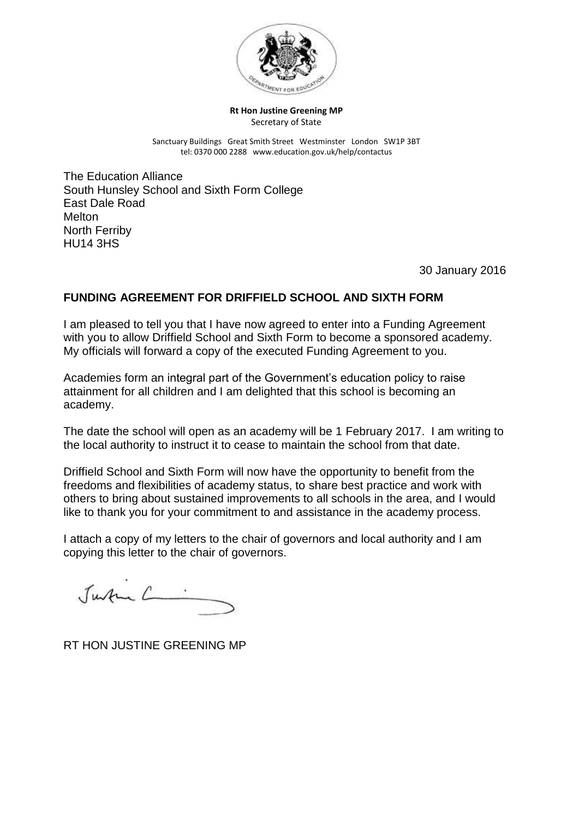

### **Rt Hon Justine Greening MP** Secretary of State

Sanctuary Buildings Great Smith Street Westminster London SW1P 3BT tel: 0370 000 2288 www.education.gov.uk/help/contactus

The Education Alliance South Hunsley School and Sixth Form College East Dale Road **Melton** North Ferriby HU14 3HS

30 January 2016

# **FUNDING AGREEMENT FOR DRIFFIELD SCHOOL AND SIXTH FORM**

I am pleased to tell you that I have now agreed to enter into a Funding Agreement with you to allow Driffield School and Sixth Form to become a sponsored academy. My officials will forward a copy of the executed Funding Agreement to you.

Academies form an integral part of the Government's education policy to raise attainment for all children and I am delighted that this school is becoming an academy.

The date the school will open as an academy will be 1 February 2017. I am writing to the local authority to instruct it to cease to maintain the school from that date.

Driffield School and Sixth Form will now have the opportunity to benefit from the freedoms and flexibilities of academy status, to share best practice and work with others to bring about sustained improvements to all schools in the area, and I would like to thank you for your commitment to and assistance in the academy process.

I attach a copy of my letters to the chair of governors and local authority and I am copying this letter to the chair of governors.

Justin C .

RT HON JUSTINE GREENING MP